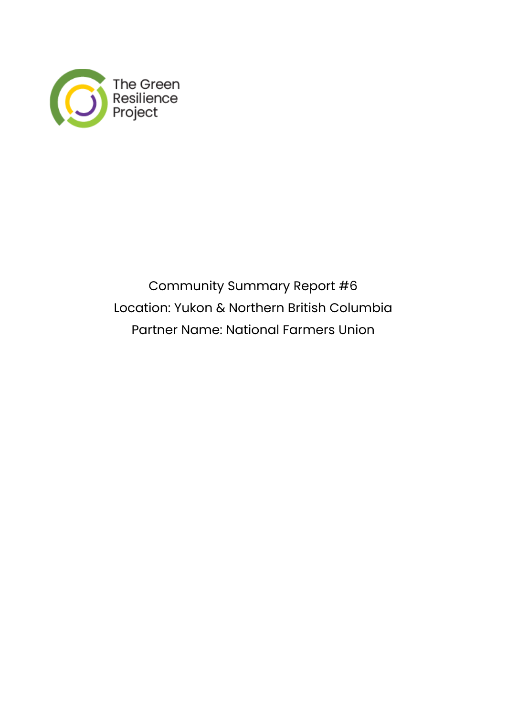

Community Summary Report #6 Location: Yukon & Northern British Columbia Partner Name: National Farmers Union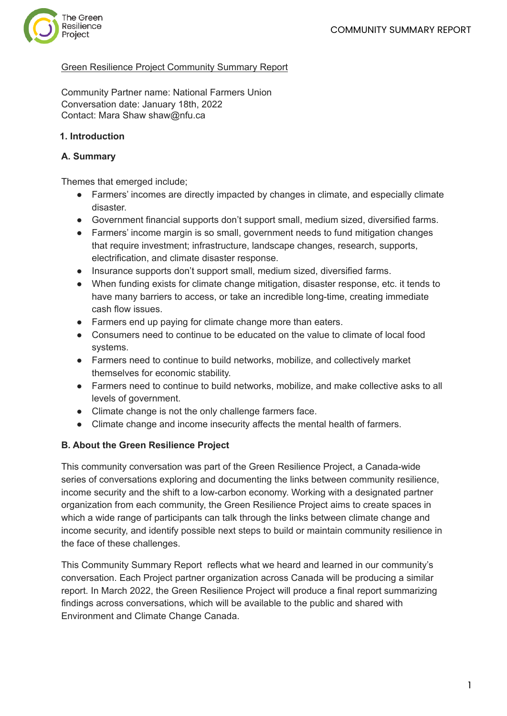

#### Green Resilience Project Community Summary Report

Community Partner name: National Farmers Union Conversation date: January 18th, 2022 Contact: Mara Shaw shaw@nfu.ca

#### **1. Introduction**

#### **A. Summary**

Themes that emerged include;

- Farmers' incomes are directly impacted by changes in climate, and especially climate disaster.
- Government financial supports don't support small, medium sized, diversified farms.
- Farmers' income margin is so small, government needs to fund mitigation changes that require investment; infrastructure, landscape changes, research, supports, electrification, and climate disaster response.
- Insurance supports don't support small, medium sized, diversified farms.
- When funding exists for climate change mitigation, disaster response, etc. it tends to have many barriers to access, or take an incredible long-time, creating immediate cash flow issues.
- Farmers end up paying for climate change more than eaters.
- Consumers need to continue to be educated on the value to climate of local food systems.
- Farmers need to continue to build networks, mobilize, and collectively market themselves for economic stability.
- Farmers need to continue to build networks, mobilize, and make collective asks to all levels of government.
- Climate change is not the only challenge farmers face.
- Climate change and income insecurity affects the mental health of farmers.

#### **B. About the Green Resilience Project**

This community conversation was part of the Green Resilience Project, a Canada-wide series of conversations exploring and documenting the links between community resilience, income security and the shift to a low-carbon economy. Working with a designated partner organization from each community, the Green Resilience Project aims to create spaces in which a wide range of participants can talk through the links between climate change and income security, and identify possible next steps to build or maintain community resilience in the face of these challenges.

This Community Summary Report reflects what we heard and learned in our community's conversation. Each Project partner organization across Canada will be producing a similar report. In March 2022, the Green Resilience Project will produce a final report summarizing findings across conversations, which will be available to the public and shared with Environment and Climate Change Canada.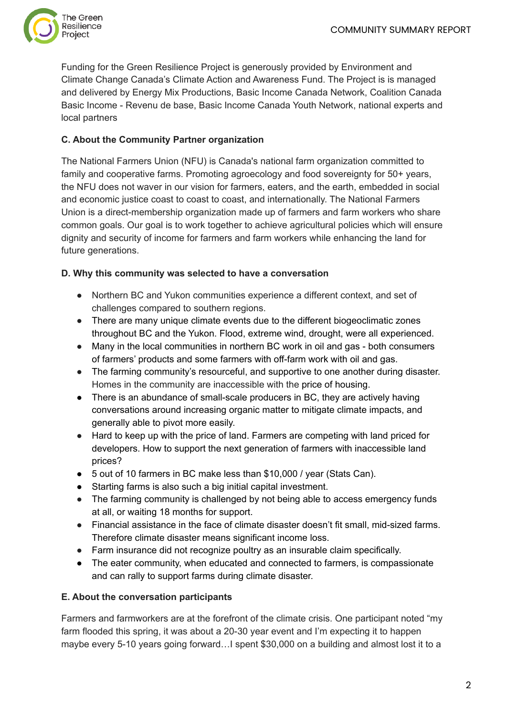

Funding for the Green Resilience Project is generously provided by Environment and Climate Change Canada's Climate Action and Awareness Fund. The Project is is managed and delivered by Energy Mix Productions, Basic Income Canada Network, Coalition Canada Basic Income - Revenu de base, Basic Income Canada Youth Network, national experts and local partners

## **C. About the Community Partner organization**

The National Farmers Union (NFU) is Canada's national farm organization committed to family and cooperative farms. Promoting agroecology and food sovereignty for 50+ years, the NFU does not waver in our vision for farmers, eaters, and the earth, embedded in social and economic justice coast to coast to coast, and internationally. The National Farmers Union is a direct-membership organization made up of farmers and farm workers who share common goals. Our goal is to work together to achieve agricultural policies which will ensure dignity and security of income for farmers and farm workers while enhancing the land for future generations.

#### **D. Why this community was selected to have a conversation**

- Northern BC and Yukon communities experience a different context, and set of challenges compared to southern regions.
- *●* There are many unique climate events due to the different biogeoclimatic zones throughout BC and the Yukon. Flood, extreme wind, drought, were all experienced.
- *●* Many in the local communities in northern BC work in oil and gas both consumers of farmers' products and some farmers with off-farm work with oil and gas.
- The farming community's resourceful, and supportive to one another during disaster. Homes in the community are inaccessible with the price of housing.
- There is an abundance of small-scale producers in BC, they are actively having conversations around increasing organic matter to mitigate climate impacts, and generally able to pivot more easily.
- Hard to keep up with the price of land. Farmers are competing with land priced for developers. How to support the next generation of farmers with inaccessible land prices?
- 5 out of 10 farmers in BC make less than \$10,000 / year (Stats Can).
- Starting farms is also such a big initial capital investment.
- *●* The farming community is challenged by not being able to access emergency funds at all, or waiting 18 months for support.
- *●* Financial assistance in the face of climate disaster doesn't fit small, mid-sized farms. Therefore climate disaster means significant income loss.
- *●* Farm insurance did not recognize poultry as an insurable claim specifically.
- The eater community, when educated and connected to farmers, is compassionate and can rally to support farms during climate disaster.

#### **E. About the conversation participants**

Farmers and farmworkers are at the forefront of the climate crisis. One participant noted "my farm flooded this spring, it was about a 20-30 year event and I'm expecting it to happen maybe every 5-10 years going forward…I spent \$30,000 on a building and almost lost it to a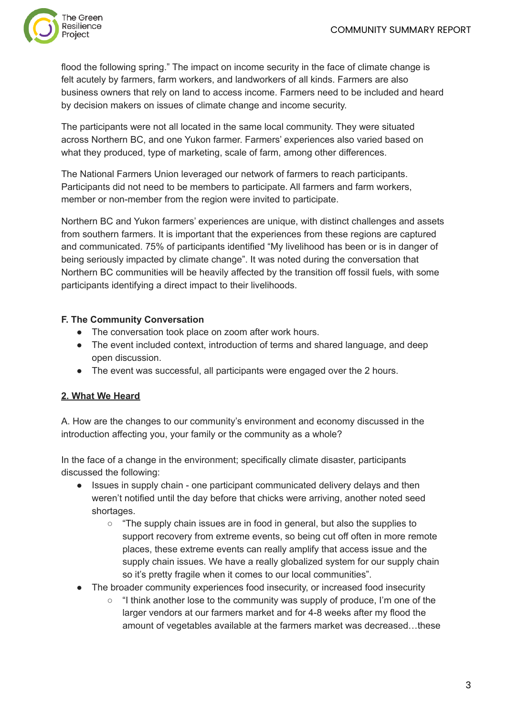

flood the following spring." The impact on income security in the face of climate change is felt acutely by farmers, farm workers, and landworkers of all kinds. Farmers are also business owners that rely on land to access income. Farmers need to be included and heard by decision makers on issues of climate change and income security.

The participants were not all located in the same local community. They were situated across Northern BC, and one Yukon farmer. Farmers' experiences also varied based on what they produced, type of marketing, scale of farm, among other differences.

The National Farmers Union leveraged our network of farmers to reach participants. Participants did not need to be members to participate. All farmers and farm workers, member or non-member from the region were invited to participate.

Northern BC and Yukon farmers' experiences are unique, with distinct challenges and assets from southern farmers. It is important that the experiences from these regions are captured and communicated. 75% of participants identified "My livelihood has been or is in danger of being seriously impacted by climate change". It was noted during the conversation that Northern BC communities will be heavily affected by the transition off fossil fuels, with some participants identifying a direct impact to their livelihoods.

### **F. The Community Conversation**

- The conversation took place on zoom after work hours.
- The event included context, introduction of terms and shared language, and deep open discussion.
- The event was successful, all participants were engaged over the 2 hours.

# **2. What We Heard**

A. How are the changes to our community's environment and economy discussed in the introduction affecting you, your family or the community as a whole?

In the face of a change in the environment; specifically climate disaster, participants discussed the following:

- Issues in supply chain one participant communicated delivery delays and then weren't notified until the day before that chicks were arriving, another noted seed shortages.
	- "The supply chain issues are in food in general, but also the supplies to support recovery from extreme events, so being cut off often in more remote places, these extreme events can really amplify that access issue and the supply chain issues. We have a really globalized system for our supply chain so it's pretty fragile when it comes to our local communities".
- The broader community experiences food insecurity, or increased food insecurity
	- "I think another lose to the community was supply of produce, I'm one of the larger vendors at our farmers market and for 4-8 weeks after my flood the amount of vegetables available at the farmers market was decreased…these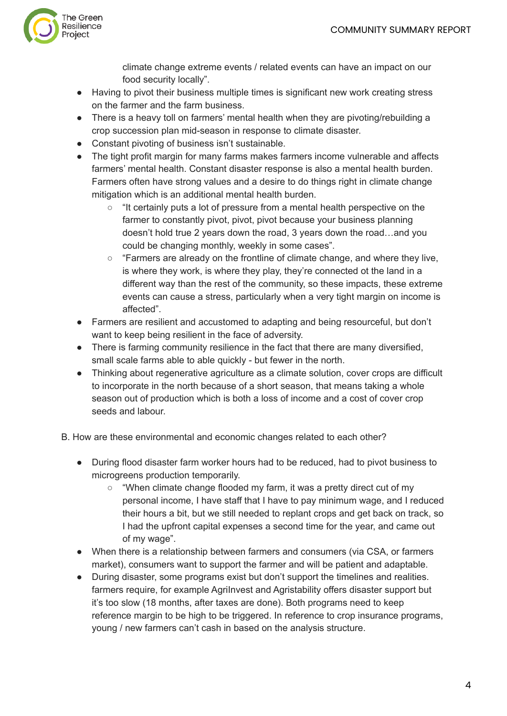

climate change extreme events / related events can have an impact on our food security locally".

- Having to pivot their business multiple times is significant new work creating stress on the farmer and the farm business.
- There is a heavy toll on farmers' mental health when they are pivoting/rebuilding a crop succession plan mid-season in response to climate disaster.
- Constant pivoting of business isn't sustainable.
- The tight profit margin for many farms makes farmers income vulnerable and affects farmers' mental health. Constant disaster response is also a mental health burden. Farmers often have strong values and a desire to do things right in climate change mitigation which is an additional mental health burden.
	- "It certainly puts a lot of pressure from a mental health perspective on the farmer to constantly pivot, pivot, pivot because your business planning doesn't hold true 2 years down the road, 3 years down the road…and you could be changing monthly, weekly in some cases".
	- "Farmers are already on the frontline of climate change, and where they live, is where they work, is where they play, they're connected ot the land in a different way than the rest of the community, so these impacts, these extreme events can cause a stress, particularly when a very tight margin on income is affected".
- Farmers are resilient and accustomed to adapting and being resourceful, but don't want to keep being resilient in the face of adversity.
- There is farming community resilience in the fact that there are many diversified, small scale farms able to able quickly - but fewer in the north.
- Thinking about regenerative agriculture as a climate solution, cover crops are difficult to incorporate in the north because of a short season, that means taking a whole season out of production which is both a loss of income and a cost of cover crop seeds and labour.

B. How are these environmental and economic changes related to each other?

- During flood disaster farm worker hours had to be reduced, had to pivot business to microgreens production temporarily.
	- "When climate change flooded my farm, it was a pretty direct cut of my personal income, I have staff that I have to pay minimum wage, and I reduced their hours a bit, but we still needed to replant crops and get back on track, so I had the upfront capital expenses a second time for the year, and came out of my wage".
- When there is a relationship between farmers and consumers (via CSA, or farmers market), consumers want to support the farmer and will be patient and adaptable.
- During disaster, some programs exist but don't support the timelines and realities. farmers require, for example AgriInvest and Agristability offers disaster support but it's too slow (18 months, after taxes are done). Both programs need to keep reference margin to be high to be triggered. In reference to crop insurance programs, young / new farmers can't cash in based on the analysis structure.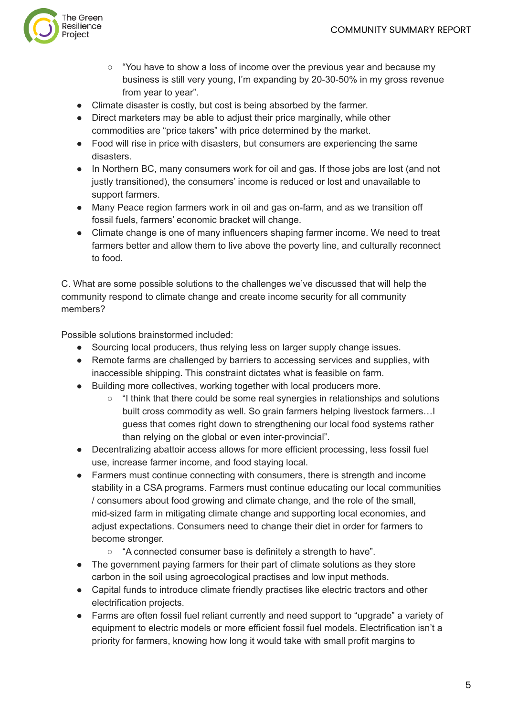

- $\circ$  "You have to show a loss of income over the previous year and because my business is still very young, I'm expanding by 20-30-50% in my gross revenue from year to year".
- Climate disaster is costly, but cost is being absorbed by the farmer.
- Direct marketers may be able to adjust their price marginally, while other commodities are "price takers" with price determined by the market.
- Food will rise in price with disasters, but consumers are experiencing the same disasters.
- In Northern BC, many consumers work for oil and gas. If those jobs are lost (and not justly transitioned), the consumers' income is reduced or lost and unavailable to support farmers.
- Many Peace region farmers work in oil and gas on-farm, and as we transition off fossil fuels, farmers' economic bracket will change.
- Climate change is one of many influencers shaping farmer income. We need to treat farmers better and allow them to live above the poverty line, and culturally reconnect to food.

C. What are some possible solutions to the challenges we've discussed that will help the community respond to climate change and create income security for all community members?

Possible solutions brainstormed included:

- Sourcing local producers, thus relying less on larger supply change issues.
- Remote farms are challenged by barriers to accessing services and supplies, with inaccessible shipping. This constraint dictates what is feasible on farm.
- Building more collectives, working together with local producers more.
	- "I think that there could be some real synergies in relationships and solutions built cross commodity as well. So grain farmers helping livestock farmers…I guess that comes right down to strengthening our local food systems rather than relying on the global or even inter-provincial".
- Decentralizing abattoir access allows for more efficient processing, less fossil fuel use, increase farmer income, and food staying local.
- Farmers must continue connecting with consumers, there is strength and income stability in a CSA programs. Farmers must continue educating our local communities / consumers about food growing and climate change, and the role of the small, mid-sized farm in mitigating climate change and supporting local economies, and adjust expectations. Consumers need to change their diet in order for farmers to become stronger.
	- "A connected consumer base is definitely a strength to have".
- The government paying farmers for their part of climate solutions as they store carbon in the soil using agroecological practises and low input methods.
- Capital funds to introduce climate friendly practises like electric tractors and other electrification projects.
- Farms are often fossil fuel reliant currently and need support to "upgrade" a variety of equipment to electric models or more efficient fossil fuel models. Electrification isn't a priority for farmers, knowing how long it would take with small profit margins to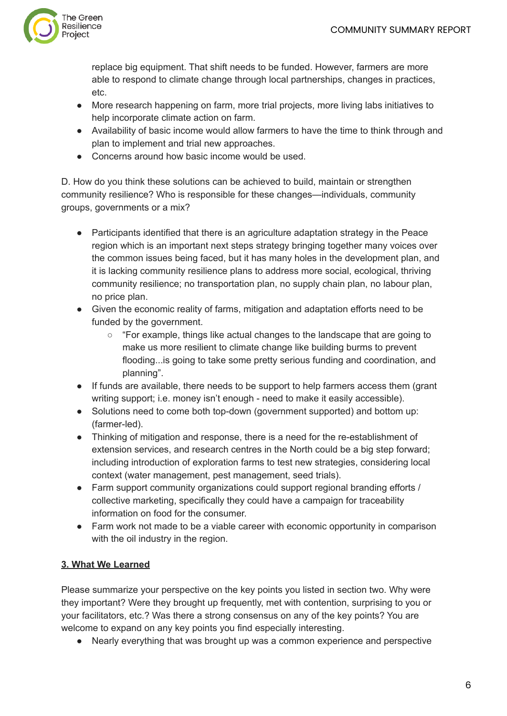

replace big equipment. That shift needs to be funded. However, farmers are more able to respond to climate change through local partnerships, changes in practices, etc.

- More research happening on farm, more trial projects, more living labs initiatives to help incorporate climate action on farm.
- Availability of basic income would allow farmers to have the time to think through and plan to implement and trial new approaches.
- Concerns around how basic income would be used.

D. How do you think these solutions can be achieved to build, maintain or strengthen community resilience? Who is responsible for these changes—individuals, community groups, governments or a mix?

- Participants identified that there is an agriculture adaptation strategy in the Peace region which is an important next steps strategy bringing together many voices over the common issues being faced, but it has many holes in the development plan, and it is lacking community resilience plans to address more social, ecological, thriving community resilience; no transportation plan, no supply chain plan, no labour plan, no price plan.
- Given the economic reality of farms, mitigation and adaptation efforts need to be funded by the government.
	- $\circ$  "For example, things like actual changes to the landscape that are going to make us more resilient to climate change like building burms to prevent flooding...is going to take some pretty serious funding and coordination, and planning".
- If funds are available, there needs to be support to help farmers access them (grant writing support; i.e. money isn't enough - need to make it easily accessible).
- Solutions need to come both top-down (government supported) and bottom up: (farmer-led).
- Thinking of mitigation and response, there is a need for the re-establishment of extension services, and research centres in the North could be a big step forward; including introduction of exploration farms to test new strategies, considering local context (water management, pest management, seed trials).
- Farm support community organizations could support regional branding efforts / collective marketing, specifically they could have a campaign for traceability information on food for the consumer.
- Farm work not made to be a viable career with economic opportunity in comparison with the oil industry in the region.

# **3. What We Learned**

Please summarize your perspective on the key points you listed in section two. Why were they important? Were they brought up frequently, met with contention, surprising to you or your facilitators, etc.? Was there a strong consensus on any of the key points? You are welcome to expand on any key points you find especially interesting.

● Nearly everything that was brought up was a common experience and perspective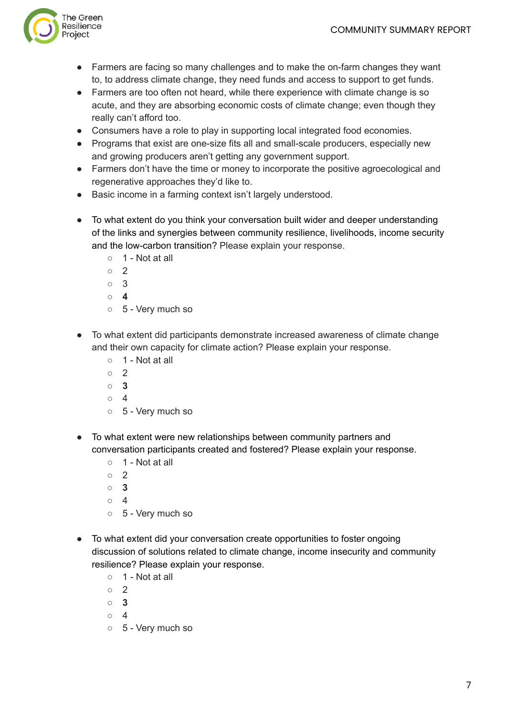

- Farmers are facing so many challenges and to make the on-farm changes they want to, to address climate change, they need funds and access to support to get funds.
- Farmers are too often not heard, while there experience with climate change is so acute, and they are absorbing economic costs of climate change; even though they really can't afford too.
- Consumers have a role to play in supporting local integrated food economies.
- Programs that exist are one-size fits all and small-scale producers, especially new and growing producers aren't getting any government support.
- Farmers don't have the time or money to incorporate the positive agroecological and regenerative approaches they'd like to.
- Basic income in a farming context isn't largely understood.
- To what extent do you think your conversation built wider and deeper understanding of the links and synergies between community resilience, livelihoods, income security and the low-carbon transition? Please explain your response.
	- 1 Not at all
	- 2
	- 3
	- **○ 4**
	- 5 Very much so
- To what extent did participants demonstrate increased awareness of climate change and their own capacity for climate action? Please explain your response.
	- 1 Not at all
	- $\circ$  2
	- **○ 3**
	- $\circ$  4
	- 5 Very much so
- To what extent were new relationships between community partners and conversation participants created and fostered? Please explain your response.
	- 1 Not at all
	- $\circ$  2
	- **○ 3**
	- 4
	- 5 Very much so
- To what extent did your conversation create opportunities to foster ongoing discussion of solutions related to climate change, income insecurity and community resilience? Please explain your response.
	- 1 Not at all
	- $\circ$  2
	- **○ 3**
	- $\circ$  4
	- 5 Very much so